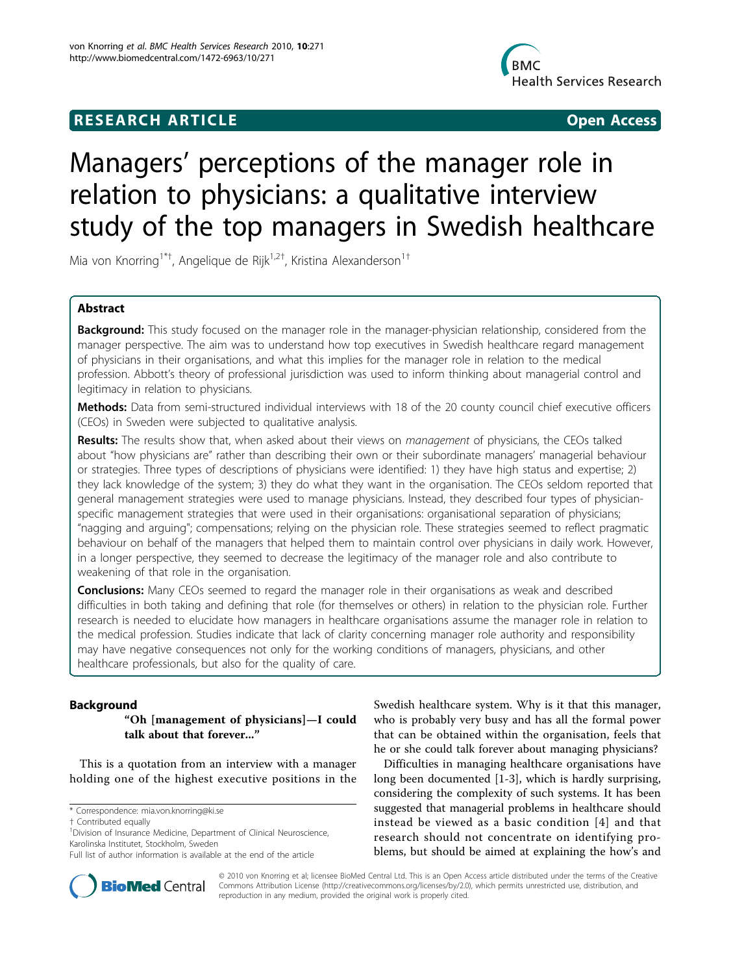# **RESEARCH ARTICLE Example 2018 CONSIDERING ACCESS**



# Managers' perceptions of the manager role in relation to physicians: a qualitative interview study of the top managers in Swedish healthcare

Mia von Knorring<sup>1\*†</sup>, Angelique de Rijk<sup>1,2†</sup>, Kristina Alexanderson<sup>1†</sup>

# Abstract

Background: This study focused on the manager role in the manager-physician relationship, considered from the manager perspective. The aim was to understand how top executives in Swedish healthcare regard management of physicians in their organisations, and what this implies for the manager role in relation to the medical profession. Abbott's theory of professional jurisdiction was used to inform thinking about managerial control and legitimacy in relation to physicians.

Methods: Data from semi-structured individual interviews with 18 of the 20 county council chief executive officers (CEOs) in Sweden were subjected to qualitative analysis.

Results: The results show that, when asked about their views on management of physicians, the CEOs talked about "how physicians are" rather than describing their own or their subordinate managers' managerial behaviour or strategies. Three types of descriptions of physicians were identified: 1) they have high status and expertise; 2) they lack knowledge of the system; 3) they do what they want in the organisation. The CEOs seldom reported that general management strategies were used to manage physicians. Instead, they described four types of physicianspecific management strategies that were used in their organisations: organisational separation of physicians; "nagging and arguing"; compensations; relying on the physician role. These strategies seemed to reflect pragmatic behaviour on behalf of the managers that helped them to maintain control over physicians in daily work. However, in a longer perspective, they seemed to decrease the legitimacy of the manager role and also contribute to weakening of that role in the organisation.

**Conclusions:** Many CEOs seemed to regard the manager role in their organisations as weak and described difficulties in both taking and defining that role (for themselves or others) in relation to the physician role. Further research is needed to elucidate how managers in healthcare organisations assume the manager role in relation to the medical profession. Studies indicate that lack of clarity concerning manager role authority and responsibility may have negative consequences not only for the working conditions of managers, physicians, and other healthcare professionals, but also for the quality of care.

# Background

"Oh [management of physicians]—I could talk about that forever..."

This is a quotation from an interview with a manager holding one of the highest executive positions in the

<sup>1</sup> Division of Insurance Medicine, Department of Clinical Neuroscience, Karolinska Institutet, Stockholm, Sweden



Difficulties in managing healthcare organisations have long been documented [\[1](#page-10-0)-[3\]](#page-10-0), which is hardly surprising, considering the complexity of such systems. It has been suggested that managerial problems in healthcare should instead be viewed as a basic condition [[4](#page-10-0)] and that research should not concentrate on identifying problems, but should be aimed at explaining the how's and



© 2010 von Knorring et al; licensee BioMed Central Ltd. This is an Open Access article distributed under the terms of the Creative Commons Attribution License [\(http://creativecommons.org/licenses/by/2.0](http://creativecommons.org/licenses/by/2.0)), which permits unrestricted use, distribution, and reproduction in any medium, provided the original work is properly cited.

<sup>\*</sup> Correspondence: [mia.von.knorring@ki.se](mailto:mia.von.knorring@ki.se)

<sup>†</sup> Contributed equally <sup>1</sup>

Full list of author information is available at the end of the article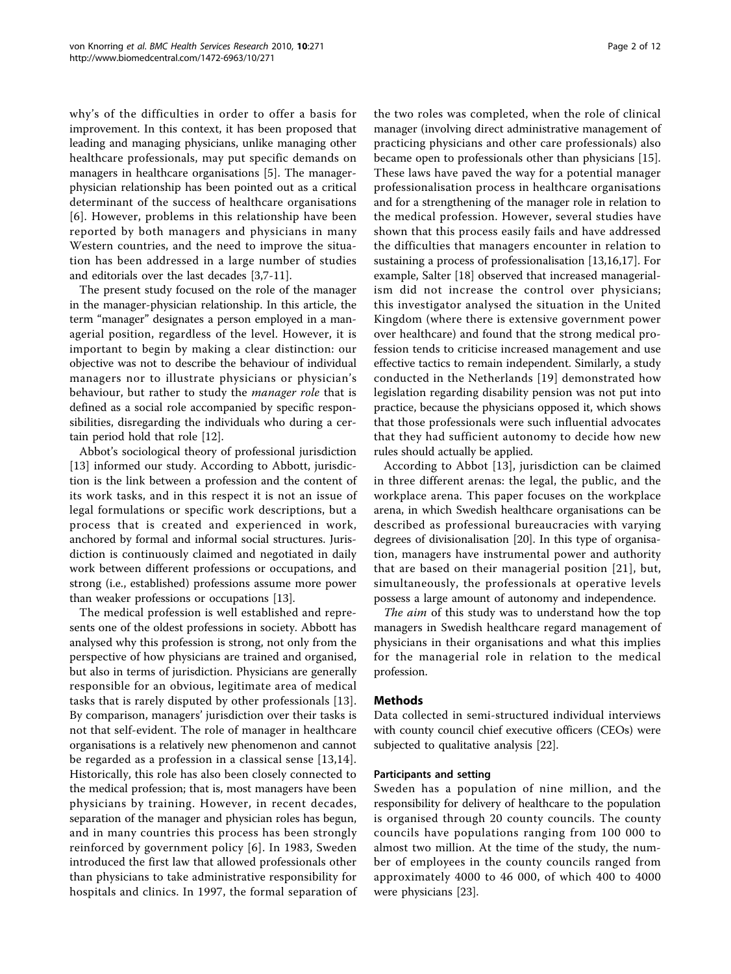why's of the difficulties in order to offer a basis for improvement. In this context, it has been proposed that leading and managing physicians, unlike managing other healthcare professionals, may put specific demands on managers in healthcare organisations [[5\]](#page-10-0). The managerphysician relationship has been pointed out as a critical determinant of the success of healthcare organisations [[6](#page-10-0)]. However, problems in this relationship have been reported by both managers and physicians in many Western countries, and the need to improve the situation has been addressed in a large number of studies and editorials over the last decades [\[3,7](#page-10-0)-[11\]](#page-10-0).

The present study focused on the role of the manager in the manager-physician relationship. In this article, the term "manager" designates a person employed in a managerial position, regardless of the level. However, it is important to begin by making a clear distinction: our objective was not to describe the behaviour of individual managers nor to illustrate physicians or physician's behaviour, but rather to study the *manager role* that is defined as a social role accompanied by specific responsibilities, disregarding the individuals who during a certain period hold that role [\[12](#page-10-0)].

Abbot's sociological theory of professional jurisdiction [[13\]](#page-10-0) informed our study. According to Abbott, jurisdiction is the link between a profession and the content of its work tasks, and in this respect it is not an issue of legal formulations or specific work descriptions, but a process that is created and experienced in work, anchored by formal and informal social structures. Jurisdiction is continuously claimed and negotiated in daily work between different professions or occupations, and strong (i.e., established) professions assume more power than weaker professions or occupations [[13](#page-10-0)].

The medical profession is well established and represents one of the oldest professions in society. Abbott has analysed why this profession is strong, not only from the perspective of how physicians are trained and organised, but also in terms of jurisdiction. Physicians are generally responsible for an obvious, legitimate area of medical tasks that is rarely disputed by other professionals [[13](#page-10-0)]. By comparison, managers' jurisdiction over their tasks is not that self-evident. The role of manager in healthcare organisations is a relatively new phenomenon and cannot be regarded as a profession in a classical sense [[13](#page-10-0),[14\]](#page-10-0). Historically, this role has also been closely connected to the medical profession; that is, most managers have been physicians by training. However, in recent decades, separation of the manager and physician roles has begun, and in many countries this process has been strongly reinforced by government policy [[6](#page-10-0)]. In 1983, Sweden introduced the first law that allowed professionals other than physicians to take administrative responsibility for hospitals and clinics. In 1997, the formal separation of the two roles was completed, when the role of clinical manager (involving direct administrative management of practicing physicians and other care professionals) also became open to professionals other than physicians [\[15](#page-10-0)]. These laws have paved the way for a potential manager professionalisation process in healthcare organisations and for a strengthening of the manager role in relation to the medical profession. However, several studies have shown that this process easily fails and have addressed the difficulties that managers encounter in relation to sustaining a process of professionalisation [[13](#page-10-0),[16](#page-10-0),[17](#page-10-0)]. For example, Salter [[18\]](#page-10-0) observed that increased managerialism did not increase the control over physicians; this investigator analysed the situation in the United Kingdom (where there is extensive government power over healthcare) and found that the strong medical profession tends to criticise increased management and use effective tactics to remain independent. Similarly, a study conducted in the Netherlands [[19\]](#page-10-0) demonstrated how legislation regarding disability pension was not put into practice, because the physicians opposed it, which shows that those professionals were such influential advocates that they had sufficient autonomy to decide how new rules should actually be applied.

According to Abbot [[13\]](#page-10-0), jurisdiction can be claimed in three different arenas: the legal, the public, and the workplace arena. This paper focuses on the workplace arena, in which Swedish healthcare organisations can be described as professional bureaucracies with varying degrees of divisionalisation [\[20](#page-10-0)]. In this type of organisation, managers have instrumental power and authority that are based on their managerial position [[21\]](#page-10-0), but, simultaneously, the professionals at operative levels possess a large amount of autonomy and independence.

The aim of this study was to understand how the top managers in Swedish healthcare regard management of physicians in their organisations and what this implies for the managerial role in relation to the medical profession.

# Methods

Data collected in semi-structured individual interviews with county council chief executive officers (CEOs) were subjected to qualitative analysis [\[22](#page-10-0)].

# Participants and setting

Sweden has a population of nine million, and the responsibility for delivery of healthcare to the population is organised through 20 county councils. The county councils have populations ranging from 100 000 to almost two million. At the time of the study, the number of employees in the county councils ranged from approximately 4000 to 46 000, of which 400 to 4000 were physicians [\[23\]](#page-10-0).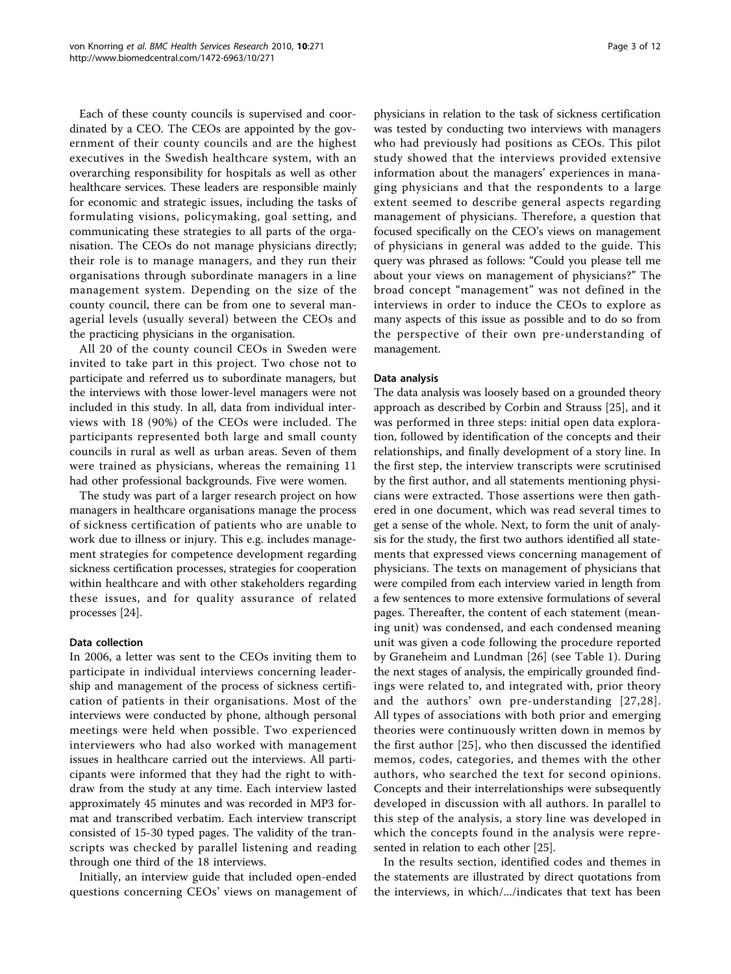Each of these county councils is supervised and coordinated by a CEO. The CEOs are appointed by the government of their county councils and are the highest executives in the Swedish healthcare system, with an overarching responsibility for hospitals as well as other healthcare services. These leaders are responsible mainly for economic and strategic issues, including the tasks of formulating visions, policymaking, goal setting, and communicating these strategies to all parts of the organisation. The CEOs do not manage physicians directly; their role is to manage managers, and they run their organisations through subordinate managers in a line management system. Depending on the size of the county council, there can be from one to several managerial levels (usually several) between the CEOs and the practicing physicians in the organisation.

All 20 of the county council CEOs in Sweden were invited to take part in this project. Two chose not to participate and referred us to subordinate managers, but the interviews with those lower-level managers were not included in this study. In all, data from individual interviews with 18 (90%) of the CEOs were included. The participants represented both large and small county councils in rural as well as urban areas. Seven of them were trained as physicians, whereas the remaining 11 had other professional backgrounds. Five were women.

The study was part of a larger research project on how managers in healthcare organisations manage the process of sickness certification of patients who are unable to work due to illness or injury. This e.g. includes management strategies for competence development regarding sickness certification processes, strategies for cooperation within healthcare and with other stakeholders regarding these issues, and for quality assurance of related processes [[24\]](#page-10-0).

# Data collection

In 2006, a letter was sent to the CEOs inviting them to participate in individual interviews concerning leadership and management of the process of sickness certification of patients in their organisations. Most of the interviews were conducted by phone, although personal meetings were held when possible. Two experienced interviewers who had also worked with management issues in healthcare carried out the interviews. All participants were informed that they had the right to withdraw from the study at any time. Each interview lasted approximately 45 minutes and was recorded in MP3 format and transcribed verbatim. Each interview transcript consisted of 15-30 typed pages. The validity of the transcripts was checked by parallel listening and reading through one third of the 18 interviews.

Initially, an interview guide that included open-ended questions concerning CEOs' views on management of physicians in relation to the task of sickness certification was tested by conducting two interviews with managers who had previously had positions as CEOs. This pilot study showed that the interviews provided extensive information about the managers' experiences in managing physicians and that the respondents to a large extent seemed to describe general aspects regarding management of physicians. Therefore, a question that focused specifically on the CEO's views on management of physicians in general was added to the guide. This query was phrased as follows: "Could you please tell me about your views on management of physicians?" The broad concept "management" was not defined in the interviews in order to induce the CEOs to explore as many aspects of this issue as possible and to do so from the perspective of their own pre-understanding of management.

# Data analysis

The data analysis was loosely based on a grounded theory approach as described by Corbin and Strauss [[25](#page-10-0)], and it was performed in three steps: initial open data exploration, followed by identification of the concepts and their relationships, and finally development of a story line. In the first step, the interview transcripts were scrutinised by the first author, and all statements mentioning physicians were extracted. Those assertions were then gathered in one document, which was read several times to get a sense of the whole. Next, to form the unit of analysis for the study, the first two authors identified all statements that expressed views concerning management of physicians. The texts on management of physicians that were compiled from each interview varied in length from a few sentences to more extensive formulations of several pages. Thereafter, the content of each statement (meaning unit) was condensed, and each condensed meaning unit was given a code following the procedure reported by Graneheim and Lundman [[26\]](#page-10-0) (see Table [1](#page-3-0)). During the next stages of analysis, the empirically grounded findings were related to, and integrated with, prior theory and the authors' own pre-understanding [[27](#page-10-0),[28\]](#page-10-0). All types of associations with both prior and emerging theories were continuously written down in memos by the first author [[25](#page-10-0)], who then discussed the identified memos, codes, categories, and themes with the other authors, who searched the text for second opinions. Concepts and their interrelationships were subsequently developed in discussion with all authors. In parallel to this step of the analysis, a story line was developed in which the concepts found in the analysis were represented in relation to each other [[25\]](#page-10-0).

In the results section, identified codes and themes in the statements are illustrated by direct quotations from the interviews, in which/.../indicates that text has been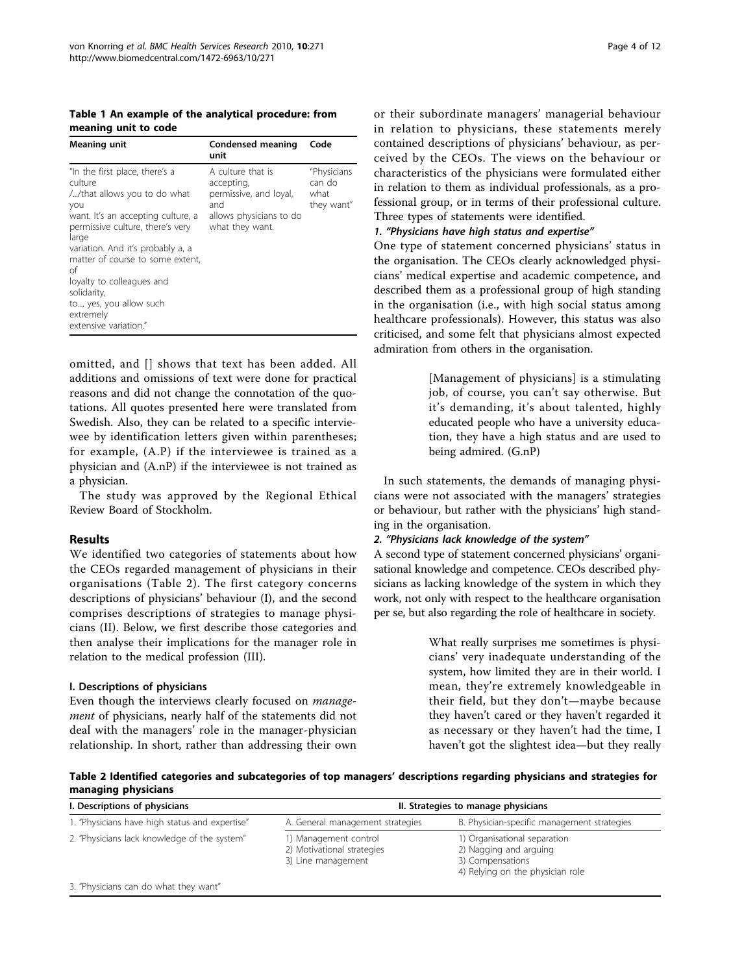<span id="page-3-0"></span>Table 1 An example of the analytical procedure: from meaning unit to code

| Meaning unit                                                                                                                                                                                                                                                                                                                                                    | Condensed meaning<br>unit                                                                                      | Code                                        |
|-----------------------------------------------------------------------------------------------------------------------------------------------------------------------------------------------------------------------------------------------------------------------------------------------------------------------------------------------------------------|----------------------------------------------------------------------------------------------------------------|---------------------------------------------|
| "In the first place, there's a<br>culture<br>//that allows you to do what<br>you<br>want. It's an accepting culture, a<br>permissive culture, there's very<br>large<br>variation. And it's probably a, a<br>matter of course to some extent.<br>оf<br>loyalty to colleagues and<br>solidarity,<br>to, yes, you allow such<br>extremely<br>extensive variation." | A culture that is<br>accepting,<br>permissive, and loyal,<br>and<br>allows physicians to do<br>what they want. | "Physicians<br>can do<br>what<br>they want" |

omitted, and [] shows that text has been added. All additions and omissions of text were done for practical reasons and did not change the connotation of the quotations. All quotes presented here were translated from Swedish. Also, they can be related to a specific interviewee by identification letters given within parentheses; for example, (A.P) if the interviewee is trained as a physician and (A.nP) if the interviewee is not trained as a physician.

The study was approved by the Regional Ethical Review Board of Stockholm.

# Results

We identified two categories of statements about how the CEOs regarded management of physicians in their organisations (Table 2). The first category concerns descriptions of physicians' behaviour (I), and the second comprises descriptions of strategies to manage physicians (II). Below, we first describe those categories and then analyse their implications for the manager role in relation to the medical profession (III).

# I. Descriptions of physicians

Even though the interviews clearly focused on management of physicians, nearly half of the statements did not deal with the managers' role in the manager-physician relationship. In short, rather than addressing their own or their subordinate managers' managerial behaviour in relation to physicians, these statements merely contained descriptions of physicians' behaviour, as perceived by the CEOs. The views on the behaviour or characteristics of the physicians were formulated either in relation to them as individual professionals, as a professional group, or in terms of their professional culture. Three types of statements were identified.

1. "Physicians have high status and expertise"

One type of statement concerned physicians' status in the organisation. The CEOs clearly acknowledged physicians' medical expertise and academic competence, and described them as a professional group of high standing in the organisation (i.e., with high social status among healthcare professionals). However, this status was also criticised, and some felt that physicians almost expected admiration from others in the organisation.

> [Management of physicians] is a stimulating job, of course, you can't say otherwise. But it's demanding, it's about talented, highly educated people who have a university education, they have a high status and are used to being admired. (G.nP)

In such statements, the demands of managing physicians were not associated with the managers' strategies or behaviour, but rather with the physicians' high standing in the organisation.

# 2. "Physicians lack knowledge of the system"

A second type of statement concerned physicians' organisational knowledge and competence. CEOs described physicians as lacking knowledge of the system in which they work, not only with respect to the healthcare organisation per se, but also regarding the role of healthcare in society.

> What really surprises me sometimes is physicians' very inadequate understanding of the system, how limited they are in their world. I mean, they're extremely knowledgeable in their field, but they don't—maybe because they haven't cared or they haven't regarded it as necessary or they haven't had the time, I haven't got the slightest idea—but they really

Table 2 Identified categories and subcategories of top managers' descriptions regarding physicians and strategies for managing physicians

| I. Descriptions of physicians                  | II. Strategies to manage physicians                                       |                                                                                                                |  |
|------------------------------------------------|---------------------------------------------------------------------------|----------------------------------------------------------------------------------------------------------------|--|
| 1. "Physicians have high status and expertise" | A. General management strategies                                          | B. Physician-specific management strategies                                                                    |  |
| 2. "Physicians lack knowledge of the system"   | 1) Management control<br>2) Motivational strategies<br>3) Line management | 1) Organisational separation<br>2) Nagging and arguing<br>3) Compensations<br>4) Relying on the physician role |  |
| 3. "Physicians can do what they want"          |                                                                           |                                                                                                                |  |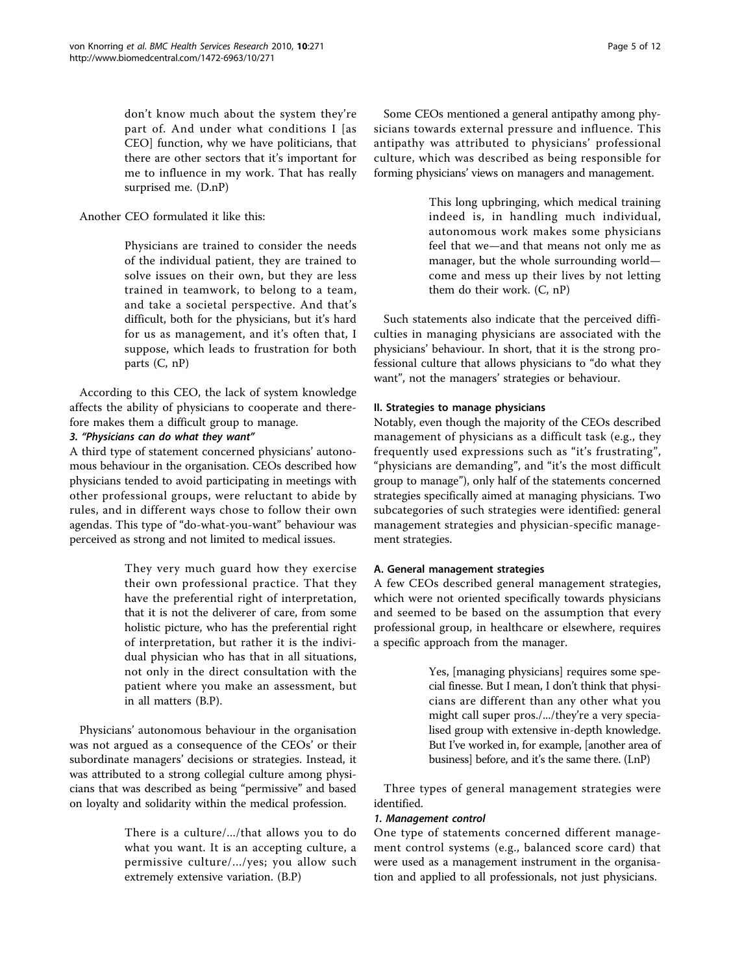don't know much about the system they're part of. And under what conditions I [as CEO] function, why we have politicians, that there are other sectors that it's important for me to influence in my work. That has really surprised me. (D.nP)

Another CEO formulated it like this:

Physicians are trained to consider the needs of the individual patient, they are trained to solve issues on their own, but they are less trained in teamwork, to belong to a team, and take a societal perspective. And that's difficult, both for the physicians, but it's hard for us as management, and it's often that, I suppose, which leads to frustration for both parts (C, nP)

According to this CEO, the lack of system knowledge affects the ability of physicians to cooperate and therefore makes them a difficult group to manage.

3. "Physicians can do what they want"

A third type of statement concerned physicians' autonomous behaviour in the organisation. CEOs described how physicians tended to avoid participating in meetings with other professional groups, were reluctant to abide by rules, and in different ways chose to follow their own agendas. This type of "do-what-you-want" behaviour was perceived as strong and not limited to medical issues.

> They very much guard how they exercise their own professional practice. That they have the preferential right of interpretation, that it is not the deliverer of care, from some holistic picture, who has the preferential right of interpretation, but rather it is the individual physician who has that in all situations, not only in the direct consultation with the patient where you make an assessment, but in all matters (B.P).

Physicians' autonomous behaviour in the organisation was not argued as a consequence of the CEOs' or their subordinate managers' decisions or strategies. Instead, it was attributed to a strong collegial culture among physicians that was described as being "permissive" and based on loyalty and solidarity within the medical profession.

> There is a culture/.../that allows you to do what you want. It is an accepting culture, a permissive culture/.../yes; you allow such extremely extensive variation. (B.P)

Some CEOs mentioned a general antipathy among physicians towards external pressure and influence. This antipathy was attributed to physicians' professional culture, which was described as being responsible for forming physicians' views on managers and management.

> This long upbringing, which medical training indeed is, in handling much individual, autonomous work makes some physicians feel that we—and that means not only me as manager, but the whole surrounding world come and mess up their lives by not letting them do their work. (C, nP)

Such statements also indicate that the perceived difficulties in managing physicians are associated with the physicians' behaviour. In short, that it is the strong professional culture that allows physicians to "do what they want", not the managers' strategies or behaviour.

# II. Strategies to manage physicians

Notably, even though the majority of the CEOs described management of physicians as a difficult task (e.g., they frequently used expressions such as "it's frustrating", "physicians are demanding", and "it's the most difficult group to manage"), only half of the statements concerned strategies specifically aimed at managing physicians. Two subcategories of such strategies were identified: general management strategies and physician-specific management strategies.

# A. General management strategies

A few CEOs described general management strategies, which were not oriented specifically towards physicians and seemed to be based on the assumption that every professional group, in healthcare or elsewhere, requires a specific approach from the manager.

> Yes, [managing physicians] requires some special finesse. But I mean, I don't think that physicians are different than any other what you might call super pros./.../they're a very specialised group with extensive in-depth knowledge. But I've worked in, for example, [another area of business] before, and it's the same there. (I.nP)

Three types of general management strategies were identified.

# 1. Management control

One type of statements concerned different management control systems (e.g., balanced score card) that were used as a management instrument in the organisation and applied to all professionals, not just physicians.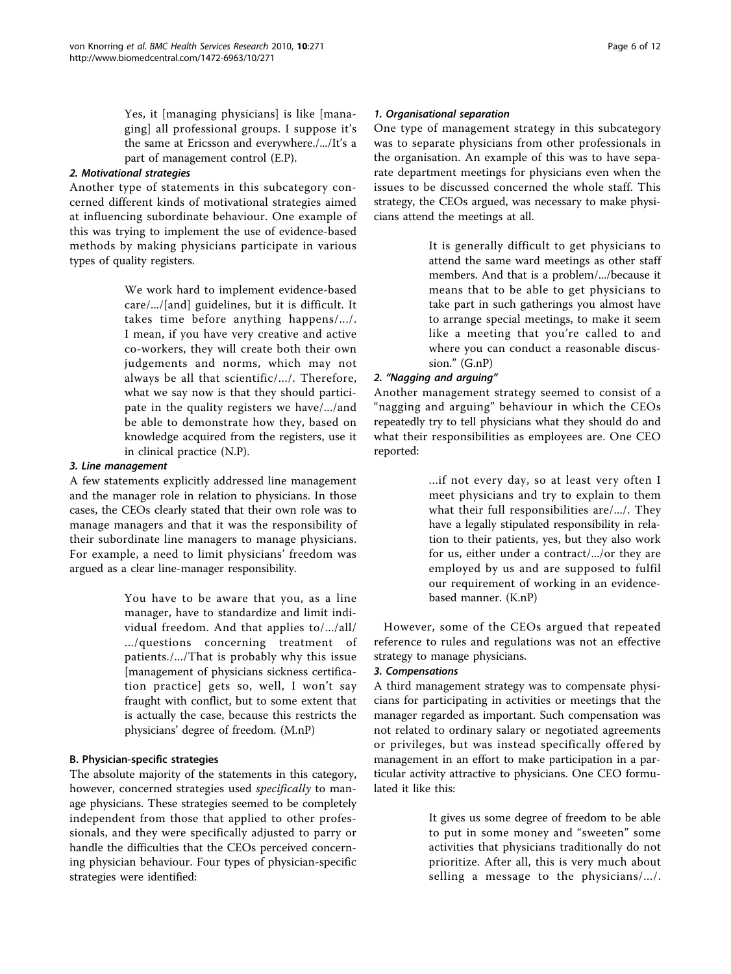Yes, it [managing physicians] is like [managing] all professional groups. I suppose it's the same at Ericsson and everywhere./.../It's a part of management control (E.P).

# 2. Motivational strategies

Another type of statements in this subcategory concerned different kinds of motivational strategies aimed at influencing subordinate behaviour. One example of this was trying to implement the use of evidence-based methods by making physicians participate in various types of quality registers.

> We work hard to implement evidence-based care/.../[and] guidelines, but it is difficult. It takes time before anything happens/.../. I mean, if you have very creative and active co-workers, they will create both their own judgements and norms, which may not always be all that scientific/.../. Therefore, what we say now is that they should participate in the quality registers we have/.../and be able to demonstrate how they, based on knowledge acquired from the registers, use it in clinical practice (N.P).

# 3. Line management

A few statements explicitly addressed line management and the manager role in relation to physicians. In those cases, the CEOs clearly stated that their own role was to manage managers and that it was the responsibility of their subordinate line managers to manage physicians. For example, a need to limit physicians' freedom was argued as a clear line-manager responsibility.

> You have to be aware that you, as a line manager, have to standardize and limit individual freedom. And that applies to/.../all/ .../questions concerning treatment of patients./.../That is probably why this issue [management of physicians sickness certification practice] gets so, well, I won't say fraught with conflict, but to some extent that is actually the case, because this restricts the physicians' degree of freedom. (M.nP)

# B. Physician-specific strategies

The absolute majority of the statements in this category, however, concerned strategies used *specifically* to manage physicians. These strategies seemed to be completely independent from those that applied to other professionals, and they were specifically adjusted to parry or handle the difficulties that the CEOs perceived concerning physician behaviour. Four types of physician-specific strategies were identified:

1. Organisational separation One type of management strategy in this subcategory was to separate physicians from other professionals in the organisation. An example of this was to have separate department meetings for physicians even when the issues to be discussed concerned the whole staff. This strategy, the CEOs argued, was necessary to make physicians attend the meetings at all.

> It is generally difficult to get physicians to attend the same ward meetings as other staff members. And that is a problem/.../because it means that to be able to get physicians to take part in such gatherings you almost have to arrange special meetings, to make it seem like a meeting that you're called to and where you can conduct a reasonable discussion." (G.nP)

# 2. "Nagging and arguing"

Another management strategy seemed to consist of a "nagging and arguing" behaviour in which the CEOs repeatedly try to tell physicians what they should do and what their responsibilities as employees are. One CEO reported:

> ...if not every day, so at least very often I meet physicians and try to explain to them what their full responsibilities are/.../. They have a legally stipulated responsibility in relation to their patients, yes, but they also work for us, either under a contract/.../or they are employed by us and are supposed to fulfil our requirement of working in an evidencebased manner. (K.nP)

However, some of the CEOs argued that repeated reference to rules and regulations was not an effective strategy to manage physicians.

# 3. Compensations

A third management strategy was to compensate physicians for participating in activities or meetings that the manager regarded as important. Such compensation was not related to ordinary salary or negotiated agreements or privileges, but was instead specifically offered by management in an effort to make participation in a particular activity attractive to physicians. One CEO formulated it like this:

> It gives us some degree of freedom to be able to put in some money and "sweeten" some activities that physicians traditionally do not prioritize. After all, this is very much about selling a message to the physicians/.../.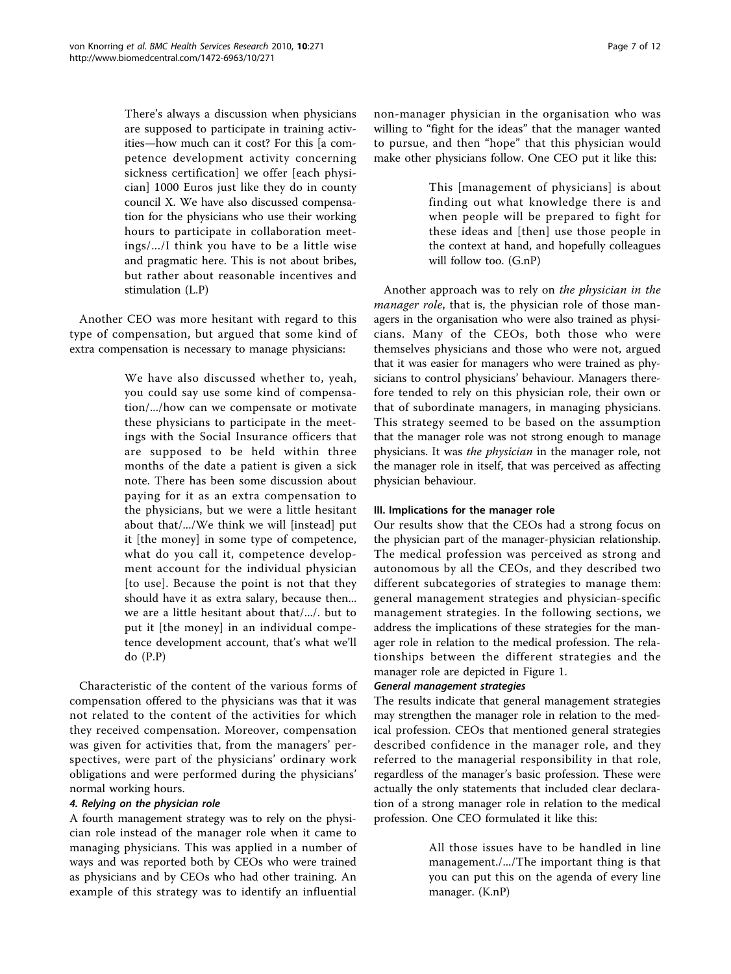There's always a discussion when physicians are supposed to participate in training activities—how much can it cost? For this [a competence development activity concerning sickness certification] we offer [each physician] 1000 Euros just like they do in county council X. We have also discussed compensation for the physicians who use their working hours to participate in collaboration meetings/.../I think you have to be a little wise and pragmatic here. This is not about bribes, but rather about reasonable incentives and stimulation (L.P)

Another CEO was more hesitant with regard to this type of compensation, but argued that some kind of extra compensation is necessary to manage physicians:

> We have also discussed whether to, yeah, you could say use some kind of compensation/.../how can we compensate or motivate these physicians to participate in the meetings with the Social Insurance officers that are supposed to be held within three months of the date a patient is given a sick note. There has been some discussion about paying for it as an extra compensation to the physicians, but we were a little hesitant about that/.../We think we will [instead] put it [the money] in some type of competence, what do you call it, competence development account for the individual physician [to use]. Because the point is not that they should have it as extra salary, because then... we are a little hesitant about that/.../. but to put it [the money] in an individual competence development account, that's what we'll do (P.P)

Characteristic of the content of the various forms of compensation offered to the physicians was that it was not related to the content of the activities for which they received compensation. Moreover, compensation was given for activities that, from the managers' perspectives, were part of the physicians' ordinary work obligations and were performed during the physicians' normal working hours.

# 4. Relying on the physician role

A fourth management strategy was to rely on the physician role instead of the manager role when it came to managing physicians. This was applied in a number of ways and was reported both by CEOs who were trained as physicians and by CEOs who had other training. An example of this strategy was to identify an influential non-manager physician in the organisation who was willing to "fight for the ideas" that the manager wanted to pursue, and then "hope" that this physician would make other physicians follow. One CEO put it like this:

> This [management of physicians] is about finding out what knowledge there is and when people will be prepared to fight for these ideas and [then] use those people in the context at hand, and hopefully colleagues will follow too. (G.nP)

Another approach was to rely on the physician in the manager role, that is, the physician role of those managers in the organisation who were also trained as physicians. Many of the CEOs, both those who were themselves physicians and those who were not, argued that it was easier for managers who were trained as physicians to control physicians' behaviour. Managers therefore tended to rely on this physician role, their own or that of subordinate managers, in managing physicians. This strategy seemed to be based on the assumption that the manager role was not strong enough to manage physicians. It was the physician in the manager role, not the manager role in itself, that was perceived as affecting physician behaviour.

# III. Implications for the manager role

Our results show that the CEOs had a strong focus on the physician part of the manager-physician relationship. The medical profession was perceived as strong and autonomous by all the CEOs, and they described two different subcategories of strategies to manage them: general management strategies and physician-specific management strategies. In the following sections, we address the implications of these strategies for the manager role in relation to the medical profession. The relationships between the different strategies and the manager role are depicted in Figure [1](#page-7-0).

# General management strategies

The results indicate that general management strategies may strengthen the manager role in relation to the medical profession. CEOs that mentioned general strategies described confidence in the manager role, and they referred to the managerial responsibility in that role, regardless of the manager's basic profession. These were actually the only statements that included clear declaration of a strong manager role in relation to the medical profession. One CEO formulated it like this:

> All those issues have to be handled in line management./.../The important thing is that you can put this on the agenda of every line manager. (K.nP)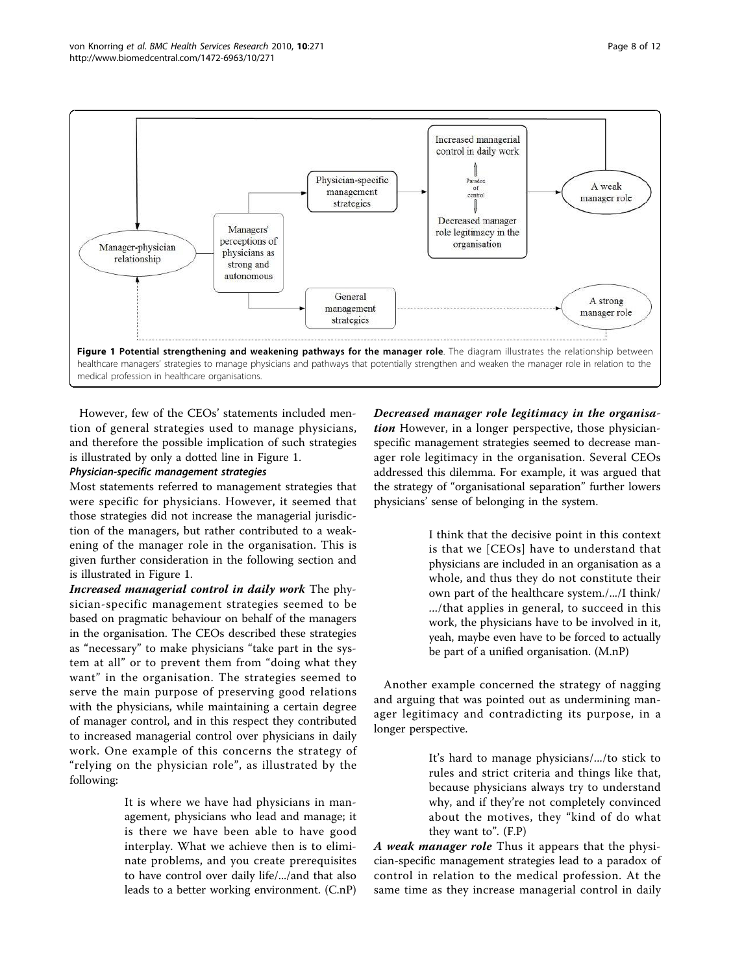<span id="page-7-0"></span>

However, few of the CEOs' statements included mention of general strategies used to manage physicians, and therefore the possible implication of such strategies is illustrated by only a dotted line in Figure 1.

# Physician-specific management strategies

Most statements referred to management strategies that were specific for physicians. However, it seemed that those strategies did not increase the managerial jurisdiction of the managers, but rather contributed to a weakening of the manager role in the organisation. This is given further consideration in the following section and is illustrated in Figure 1.

Increased managerial control in daily work The physician-specific management strategies seemed to be based on pragmatic behaviour on behalf of the managers in the organisation. The CEOs described these strategies as "necessary" to make physicians "take part in the system at all" or to prevent them from "doing what they want" in the organisation. The strategies seemed to serve the main purpose of preserving good relations with the physicians, while maintaining a certain degree of manager control, and in this respect they contributed to increased managerial control over physicians in daily work. One example of this concerns the strategy of "relying on the physician role", as illustrated by the following:

> It is where we have had physicians in management, physicians who lead and manage; it is there we have been able to have good interplay. What we achieve then is to eliminate problems, and you create prerequisites to have control over daily life/.../and that also leads to a better working environment. (C.nP)

Decreased manager role legitimacy in the organisation However, in a longer perspective, those physicianspecific management strategies seemed to decrease manager role legitimacy in the organisation. Several CEOs addressed this dilemma. For example, it was argued that the strategy of "organisational separation" further lowers physicians' sense of belonging in the system.

> I think that the decisive point in this context is that we [CEOs] have to understand that physicians are included in an organisation as a whole, and thus they do not constitute their own part of the healthcare system./.../I think/ .../that applies in general, to succeed in this work, the physicians have to be involved in it, yeah, maybe even have to be forced to actually be part of a unified organisation. (M.nP)

Another example concerned the strategy of nagging and arguing that was pointed out as undermining manager legitimacy and contradicting its purpose, in a longer perspective.

> It's hard to manage physicians/.../to stick to rules and strict criteria and things like that, because physicians always try to understand why, and if they're not completely convinced about the motives, they "kind of do what they want to". (F.P)

A weak manager role Thus it appears that the physician-specific management strategies lead to a paradox of control in relation to the medical profession. At the same time as they increase managerial control in daily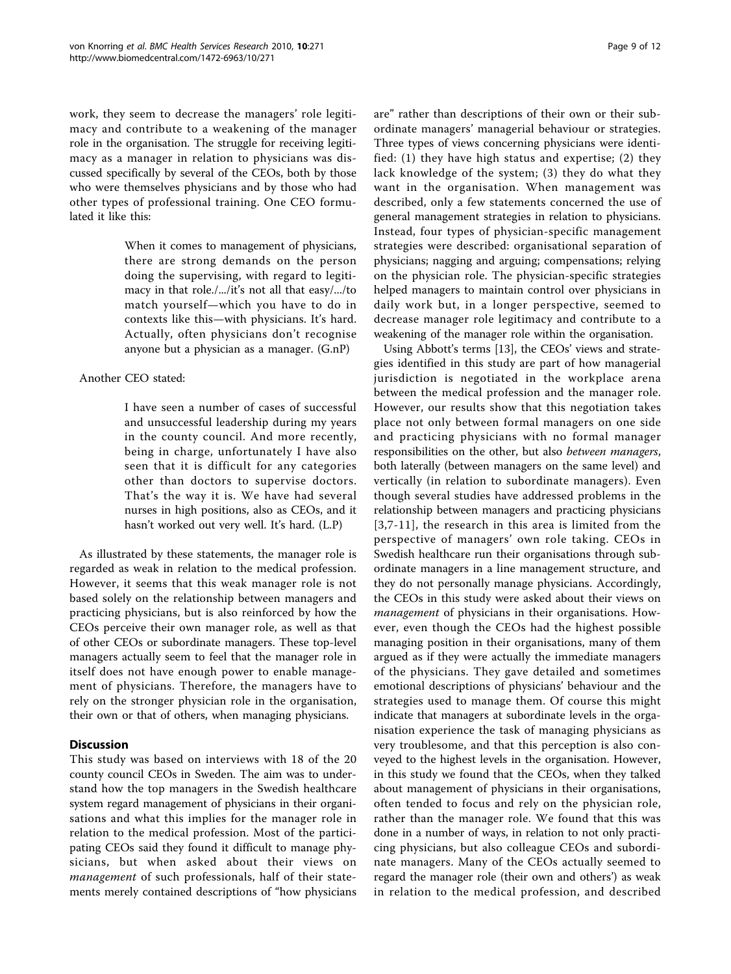work, they seem to decrease the managers' role legitimacy and contribute to a weakening of the manager role in the organisation. The struggle for receiving legitimacy as a manager in relation to physicians was discussed specifically by several of the CEOs, both by those who were themselves physicians and by those who had other types of professional training. One CEO formulated it like this:

> When it comes to management of physicians, there are strong demands on the person doing the supervising, with regard to legitimacy in that role./.../it's not all that easy/.../to match yourself—which you have to do in contexts like this—with physicians. It's hard. Actually, often physicians don't recognise anyone but a physician as a manager. (G.nP)

# Another CEO stated:

I have seen a number of cases of successful and unsuccessful leadership during my years in the county council. And more recently, being in charge, unfortunately I have also seen that it is difficult for any categories other than doctors to supervise doctors. That's the way it is. We have had several nurses in high positions, also as CEOs, and it hasn't worked out very well. It's hard. (L.P)

As illustrated by these statements, the manager role is regarded as weak in relation to the medical profession. However, it seems that this weak manager role is not based solely on the relationship between managers and practicing physicians, but is also reinforced by how the CEOs perceive their own manager role, as well as that of other CEOs or subordinate managers. These top-level managers actually seem to feel that the manager role in itself does not have enough power to enable management of physicians. Therefore, the managers have to rely on the stronger physician role in the organisation, their own or that of others, when managing physicians.

# **Discussion**

This study was based on interviews with 18 of the 20 county council CEOs in Sweden. The aim was to understand how the top managers in the Swedish healthcare system regard management of physicians in their organisations and what this implies for the manager role in relation to the medical profession. Most of the participating CEOs said they found it difficult to manage physicians, but when asked about their views on management of such professionals, half of their statements merely contained descriptions of "how physicians are" rather than descriptions of their own or their subordinate managers' managerial behaviour or strategies. Three types of views concerning physicians were identified: (1) they have high status and expertise; (2) they lack knowledge of the system; (3) they do what they want in the organisation. When management was described, only a few statements concerned the use of general management strategies in relation to physicians. Instead, four types of physician-specific management strategies were described: organisational separation of physicians; nagging and arguing; compensations; relying on the physician role. The physician-specific strategies helped managers to maintain control over physicians in daily work but, in a longer perspective, seemed to decrease manager role legitimacy and contribute to a weakening of the manager role within the organisation.

Using Abbott's terms [\[13](#page-10-0)], the CEOs' views and strategies identified in this study are part of how managerial jurisdiction is negotiated in the workplace arena between the medical profession and the manager role. However, our results show that this negotiation takes place not only between formal managers on one side and practicing physicians with no formal manager responsibilities on the other, but also between managers, both laterally (between managers on the same level) and vertically (in relation to subordinate managers). Even though several studies have addressed problems in the relationship between managers and practicing physicians [[3](#page-10-0),[7](#page-10-0)-[11](#page-10-0)], the research in this area is limited from the perspective of managers' own role taking. CEOs in Swedish healthcare run their organisations through subordinate managers in a line management structure, and they do not personally manage physicians. Accordingly, the CEOs in this study were asked about their views on management of physicians in their organisations. However, even though the CEOs had the highest possible managing position in their organisations, many of them argued as if they were actually the immediate managers of the physicians. They gave detailed and sometimes emotional descriptions of physicians' behaviour and the strategies used to manage them. Of course this might indicate that managers at subordinate levels in the organisation experience the task of managing physicians as very troublesome, and that this perception is also conveyed to the highest levels in the organisation. However, in this study we found that the CEOs, when they talked about management of physicians in their organisations, often tended to focus and rely on the physician role, rather than the manager role. We found that this was done in a number of ways, in relation to not only practicing physicians, but also colleague CEOs and subordinate managers. Many of the CEOs actually seemed to regard the manager role (their own and others') as weak in relation to the medical profession, and described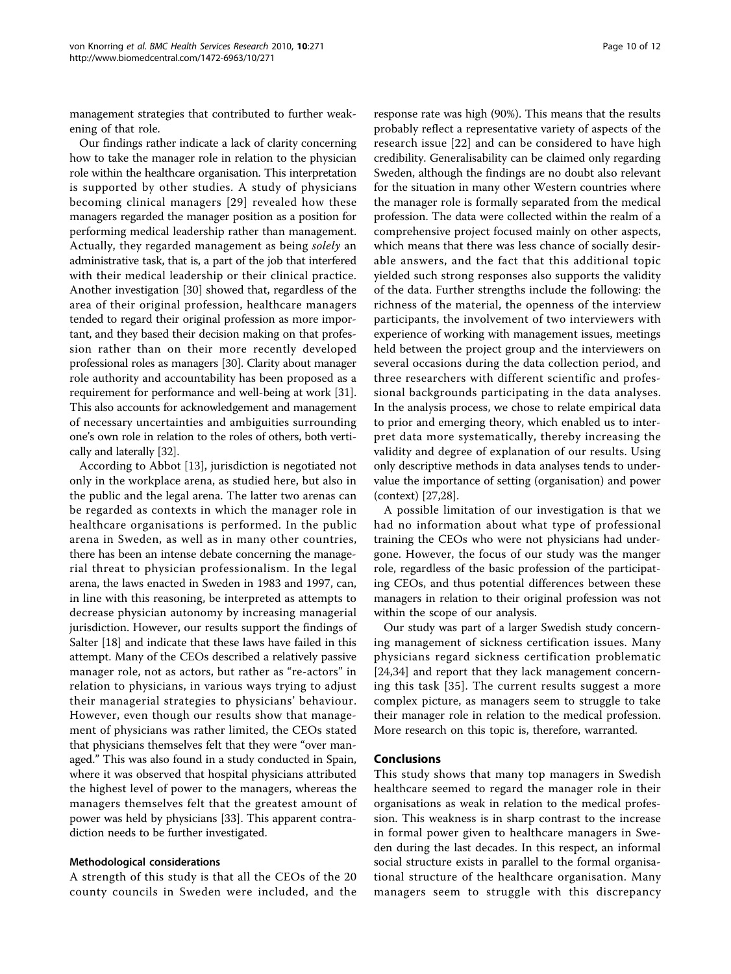management strategies that contributed to further weakening of that role.

Our findings rather indicate a lack of clarity concerning how to take the manager role in relation to the physician role within the healthcare organisation. This interpretation is supported by other studies. A study of physicians becoming clinical managers [[29](#page-10-0)] revealed how these managers regarded the manager position as a position for performing medical leadership rather than management. Actually, they regarded management as being solely an administrative task, that is, a part of the job that interfered with their medical leadership or their clinical practice. Another investigation [[30\]](#page-10-0) showed that, regardless of the area of their original profession, healthcare managers tended to regard their original profession as more important, and they based their decision making on that profession rather than on their more recently developed professional roles as managers [[30](#page-10-0)]. Clarity about manager role authority and accountability has been proposed as a requirement for performance and well-being at work [[31](#page-10-0)]. This also accounts for acknowledgement and management of necessary uncertainties and ambiguities surrounding one's own role in relation to the roles of others, both vertically and laterally [\[32\]](#page-10-0).

According to Abbot [\[13](#page-10-0)], jurisdiction is negotiated not only in the workplace arena, as studied here, but also in the public and the legal arena. The latter two arenas can be regarded as contexts in which the manager role in healthcare organisations is performed. In the public arena in Sweden, as well as in many other countries, there has been an intense debate concerning the managerial threat to physician professionalism. In the legal arena, the laws enacted in Sweden in 1983 and 1997, can, in line with this reasoning, be interpreted as attempts to decrease physician autonomy by increasing managerial jurisdiction. However, our results support the findings of Salter [\[18\]](#page-10-0) and indicate that these laws have failed in this attempt. Many of the CEOs described a relatively passive manager role, not as actors, but rather as "re-actors" in relation to physicians, in various ways trying to adjust their managerial strategies to physicians' behaviour. However, even though our results show that management of physicians was rather limited, the CEOs stated that physicians themselves felt that they were "over managed." This was also found in a study conducted in Spain, where it was observed that hospital physicians attributed the highest level of power to the managers, whereas the managers themselves felt that the greatest amount of power was held by physicians [\[33\]](#page-10-0). This apparent contradiction needs to be further investigated.

## Methodological considerations

A strength of this study is that all the CEOs of the 20 county councils in Sweden were included, and the response rate was high (90%). This means that the results probably reflect a representative variety of aspects of the research issue [[22\]](#page-10-0) and can be considered to have high credibility. Generalisability can be claimed only regarding Sweden, although the findings are no doubt also relevant for the situation in many other Western countries where the manager role is formally separated from the medical profession. The data were collected within the realm of a comprehensive project focused mainly on other aspects, which means that there was less chance of socially desirable answers, and the fact that this additional topic yielded such strong responses also supports the validity of the data. Further strengths include the following: the richness of the material, the openness of the interview participants, the involvement of two interviewers with experience of working with management issues, meetings held between the project group and the interviewers on several occasions during the data collection period, and three researchers with different scientific and professional backgrounds participating in the data analyses. In the analysis process, we chose to relate empirical data to prior and emerging theory, which enabled us to interpret data more systematically, thereby increasing the validity and degree of explanation of our results. Using only descriptive methods in data analyses tends to undervalue the importance of setting (organisation) and power (context) [\[27,28\]](#page-10-0).

A possible limitation of our investigation is that we had no information about what type of professional training the CEOs who were not physicians had undergone. However, the focus of our study was the manger role, regardless of the basic profession of the participating CEOs, and thus potential differences between these managers in relation to their original profession was not within the scope of our analysis.

Our study was part of a larger Swedish study concerning management of sickness certification issues. Many physicians regard sickness certification problematic [[24,34](#page-10-0)] and report that they lack management concerning this task [\[35\]](#page-10-0). The current results suggest a more complex picture, as managers seem to struggle to take their manager role in relation to the medical profession. More research on this topic is, therefore, warranted.

# Conclusions

This study shows that many top managers in Swedish healthcare seemed to regard the manager role in their organisations as weak in relation to the medical profession. This weakness is in sharp contrast to the increase in formal power given to healthcare managers in Sweden during the last decades. In this respect, an informal social structure exists in parallel to the formal organisational structure of the healthcare organisation. Many managers seem to struggle with this discrepancy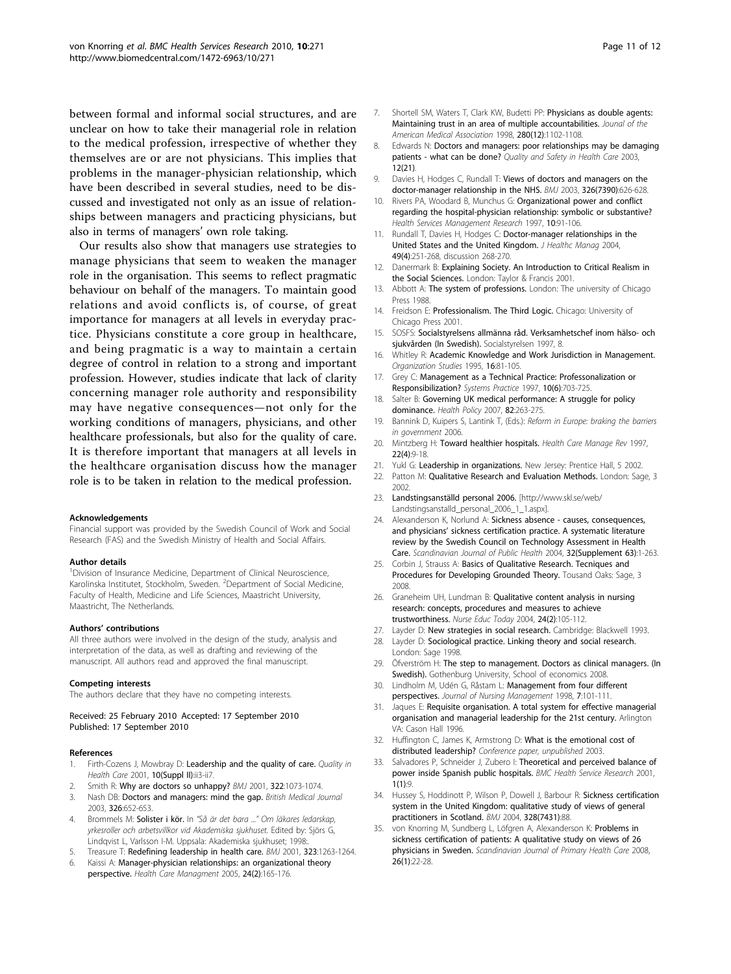<span id="page-10-0"></span>between formal and informal social structures, and are unclear on how to take their managerial role in relation to the medical profession, irrespective of whether they themselves are or are not physicians. This implies that problems in the manager-physician relationship, which have been described in several studies, need to be discussed and investigated not only as an issue of relationships between managers and practicing physicians, but also in terms of managers' own role taking.

Our results also show that managers use strategies to manage physicians that seem to weaken the manager role in the organisation. This seems to reflect pragmatic behaviour on behalf of the managers. To maintain good relations and avoid conflicts is, of course, of great importance for managers at all levels in everyday practice. Physicians constitute a core group in healthcare, and being pragmatic is a way to maintain a certain degree of control in relation to a strong and important profession. However, studies indicate that lack of clarity concerning manager role authority and responsibility may have negative consequences—not only for the working conditions of managers, physicians, and other healthcare professionals, but also for the quality of care. It is therefore important that managers at all levels in the healthcare organisation discuss how the manager role is to be taken in relation to the medical profession.

#### Acknowledgements

Financial support was provided by the Swedish Council of Work and Social Research (FAS) and the Swedish Ministry of Health and Social Affairs.

#### Author details

<sup>1</sup> Division of Insurance Medicine, Department of Clinical Neuroscience, Karolinska Institutet, Stockholm, Sweden. <sup>2</sup>Department of Social Medicine, Faculty of Health, Medicine and Life Sciences, Maastricht University, Maastricht, The Netherlands.

#### Authors' contributions

All three authors were involved in the design of the study, analysis and interpretation of the data, as well as drafting and reviewing of the manuscript. All authors read and approved the final manuscript.

#### Competing interests

The authors declare that they have no competing interests.

Received: 25 February 2010 Accepted: 17 September 2010 Published: 17 September 2010

#### References

- 1. Firth-Cozens J, Mowbray D: [Leadership and the quality of care.](http://www.ncbi.nlm.nih.gov/pubmed/11700372?dopt=Abstract) Quality in Health Care 2001, 10(Suppl II):ii3-ii7
- Smith R: [Why are doctors so unhappy?](http://www.ncbi.nlm.nih.gov/pubmed/11337419?dopt=Abstract) BMJ 2001, 322:1073-1074.
- 3. Nash DB: [Doctors and managers: mind the gap.](http://www.ncbi.nlm.nih.gov/pubmed/12649246?dopt=Abstract) British Medical Journal 2003, 326:652-653.
- 4. Brommels M: Solister i kör. In "Så är det bara ..." Om läkares ledarskap, yrkesroller och arbetsvillkor vid Akademiska sjukhuset. Edited by: Sjörs G, Lindqvist L, Varlsson I-M. Uppsala: Akademiska sjukhuset; 1998:.
- 5. Treasure T: [Redefining leadership in health care.](http://www.ncbi.nlm.nih.gov/pubmed/11731375?dopt=Abstract) BMJ 2001, 323:1263-1264.
- Kaissi A: Manager-physician relationships: an organizational theory perspective. Health Care Managment 2005, 24(2):165-176.
- 7. Shortell SM, Waters T, Clark KW, Budetti PP: Physicians as double agents: Maintaining trust in an area of multiple accountabilities. Jounal of the American Medical Association 1998, 280(12):1102-1108.
- 8. Edwards N: [Doctors and managers: poor relationships may be damaging](http://www.ncbi.nlm.nih.gov/pubmed/14645744?dopt=Abstract) [patients - what can be done?](http://www.ncbi.nlm.nih.gov/pubmed/14645744?dopt=Abstract) Quality and Safety in Health Care 2003, 12(21).
- 9. Davies H, Hodges C, Rundall T: [Views of doctors and managers on the](http://www.ncbi.nlm.nih.gov/pubmed/12649235?dopt=Abstract) [doctor-manager relationship in the NHS.](http://www.ncbi.nlm.nih.gov/pubmed/12649235?dopt=Abstract) BMJ 2003, 326(7390):626-628.
- 10. Rivers PA, Woodard B, Munchus G: [Organizational power and conflict](http://www.ncbi.nlm.nih.gov/pubmed/10168964?dopt=Abstract) [regarding the hospital-physician relationship: symbolic or substantive?](http://www.ncbi.nlm.nih.gov/pubmed/10168964?dopt=Abstract) Health Services Management Research 1997, 10:91-106.
- 11. Rundall T, Davies H, Hodges C: [Doctor-manager relationships in the](http://www.ncbi.nlm.nih.gov/pubmed/15328659?dopt=Abstract) [United States and the United Kingdom.](http://www.ncbi.nlm.nih.gov/pubmed/15328659?dopt=Abstract) J Healthc Manag 2004, 49(4):251-268, discussion 268-270.
- 12. Danermark B: Explaining Society. An Introduction to Critical Realism in the Social Sciences. London: Taylor & Francis 2001.
- 13. Abbott A: The system of professions. London: The university of Chicago Press 1988.
- 14. Freidson E: Professionalism. The Third Logic. Chicago: University of Chicago Press 2001.
- 15. SOSFS: Socialstyrelsens allmänna råd. Verksamhetschef inom hälso- och sjukvården (In Swedish). Socialstyrelsen 1997, 8.
- 16. Whitley R: Academic Knowledge and Work Jurisdiction in Management. Organization Studies 1995, 16:81-105.
- 17. Grey C: Management as a Technical Practice: Professonalization or Responsibilization? Systems Practice 1997, 10(6):703-725.
- 18. Salter B: [Governing UK medical performance: A struggle for policy](http://www.ncbi.nlm.nih.gov/pubmed/17109988?dopt=Abstract) [dominance.](http://www.ncbi.nlm.nih.gov/pubmed/17109988?dopt=Abstract) Health Policy 2007, 82:263-275.
- 19. Bannink D, Kuipers S, Lantink T, (Eds.): Reform in Europe: braking the barriers in government 2006.
- 20. Mintzberg H: [Toward healthier hospitals.](http://www.ncbi.nlm.nih.gov/pubmed/9358257?dopt=Abstract) Health Care Manage Rev 1997, 22(4):9-18.
- 21. Yukl G: Leadership in organizations. New Jersey: Prentice Hall, 5 2002.
- 22. Patton M: Qualitative Research and Evaluation Methods. London: Sage, 3 2002.
- 23. Landstingsanställd personal 2006. [[http://www.skl.se/web/](http://www.skl.se/web/Landstingsanstalld_personal_2006_1_1.aspx) [Landstingsanstalld\\_personal\\_2006\\_1\\_1.aspx](http://www.skl.se/web/Landstingsanstalld_personal_2006_1_1.aspx)].
- 24. Alexanderson K, Norlund A: [Sickness absence causes, consequences,](http://www.ncbi.nlm.nih.gov/pubmed/14757541?dopt=Abstract) and physicians' [sickness certification practice. A systematic literature](http://www.ncbi.nlm.nih.gov/pubmed/14757541?dopt=Abstract) [review by the Swedish Council on Technology Assessment in Health](http://www.ncbi.nlm.nih.gov/pubmed/14757541?dopt=Abstract) [Care.](http://www.ncbi.nlm.nih.gov/pubmed/14757541?dopt=Abstract) Scandinavian Journal of Public Health 2004, 32(Supplement 63):1-263.
- 25. Corbin J, Strauss A: Basics of Qualitative Research. Tecniques and Procedures for Developing Grounded Theory. Tousand Oaks: Sage, 3 2008.
- 26. Graneheim UH, Lundman B: [Qualitative content analysis in nursing](http://www.ncbi.nlm.nih.gov/pubmed/14769454?dopt=Abstract) [research: concepts, procedures and measures to achieve](http://www.ncbi.nlm.nih.gov/pubmed/14769454?dopt=Abstract) [trustworthiness.](http://www.ncbi.nlm.nih.gov/pubmed/14769454?dopt=Abstract) Nurse Educ Today 2004, 24(2):105-112.
- 27. Layder D: New strategies in social research. Cambridge: Blackwell 1993.
- 28. Layder D: Sociological practice. Linking theory and social research. London: Sage 1998.
- 29. Öfverström H: The step to management. Doctors as clinical managers. (In Swedish). Gothenburg University, School of economics 2008.
- 30. Lindholm M, Udén G, Råstam L: Management from four different perspectives. Journal of Nursing Management 1998, 7:101-111.
- 31. Jaques E: Requisite organisation. A total system for effective managerial organisation and managerial leadership for the 21st century. Arlington VA: Cason Hall 1996.
- 32. Huffington C, James K, Armstrong D: What is the emotional cost of distributed leadership? Conference paper, unpublished 2003.
- 33. Salvadores P, Schneider J, Zubero I: Theoretical and perceived balance of power inside Spanish public hospitals. BMC Health Service Research 2001, 1(1):9.
- 34. Hussey S, Hoddinott P, Wilson P, Dowell J, Barbour R: [Sickness certification](http://www.ncbi.nlm.nih.gov/pubmed/14691065?dopt=Abstract) [system in the United Kingdom: qualitative study of views of general](http://www.ncbi.nlm.nih.gov/pubmed/14691065?dopt=Abstract) [practitioners in Scotland.](http://www.ncbi.nlm.nih.gov/pubmed/14691065?dopt=Abstract) BMJ 2004, 328(7431):88.
- 35. von Knorring M, Sundberg L, Löfgren A, Alexanderson K: [Problems in](http://www.ncbi.nlm.nih.gov/pubmed/18297559?dopt=Abstract) [sickness certification of patients: A qualitative study on views of 26](http://www.ncbi.nlm.nih.gov/pubmed/18297559?dopt=Abstract) [physicians in Sweden.](http://www.ncbi.nlm.nih.gov/pubmed/18297559?dopt=Abstract) Scandinavian Journal of Primary Health Care 2008, 26(1):22-28.